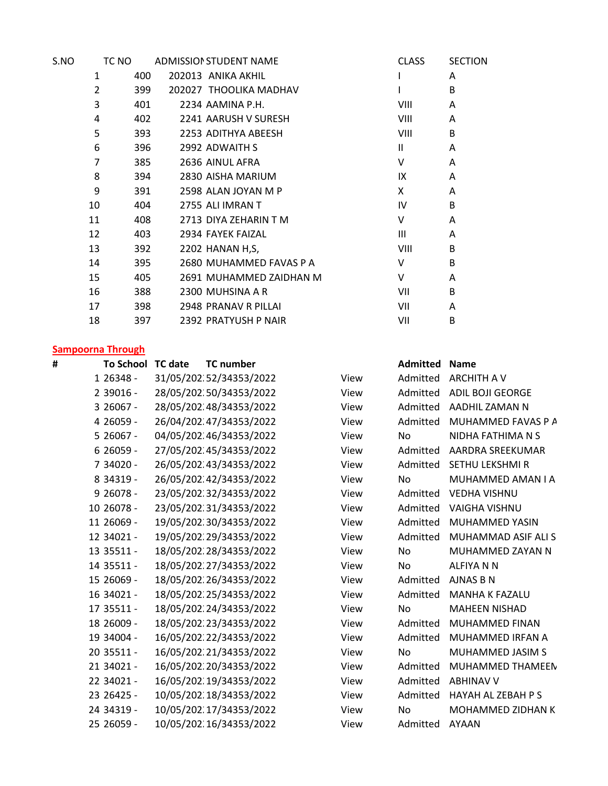| S.NO | TC NO          |     | ADMISSION STUDENT NAME  | <b>CLASS</b> | <b>SECTION</b> |
|------|----------------|-----|-------------------------|--------------|----------------|
|      | $\mathbf{1}$   | 400 | 202013 ANIKA AKHIL      |              | A              |
|      | $\overline{2}$ | 399 | 202027 THOOLIKA MADHAV  |              | B              |
|      | 3              | 401 | 2234 AAMINA P.H.        | VIII         | A              |
|      | 4              | 402 | 2241 AARUSH V SURESH    | VIII         | A              |
|      | 5              | 393 | 2253 ADITHYA ABEESH     | VIII         | B              |
|      | 6              | 396 | 2992 ADWAITH S          | $\mathbf{H}$ | A              |
|      | $\overline{7}$ | 385 | 2636 AINUL AFRA         | V            | A              |
|      | 8              | 394 | 2830 AISHA MARIUM       | IX           | A              |
|      | 9              | 391 | 2598 ALAN JOYAN M P     | X            | A              |
|      | 10             | 404 | 2755 ALI IMRAN T        | IV           | B              |
|      | 11             | 408 | 2713 DIYA ZEHARIN T M   | V            | A              |
|      | 12             | 403 | 2934 FAYEK FAIZAL       | Ш            | A              |
|      | 13             | 392 | 2202 HANAN H, S,        | VIII         | B              |
|      | 14             | 395 | 2680 MUHAMMED FAVAS P A | V            | B              |
|      | 15             | 405 | 2691 MUHAMMED ZAIDHAN M | V            | A              |
|      | 16             | 388 | 2300 MUHSINA A R        | VII          | B              |
|      | 17             | 398 | 2948 PRANAV R PILLAI    | VII          | A              |
|      | 18             | 397 | 2392 PRATYUSH P NAIR    | VII          | B              |

## **Sampoorna Through**

| # | <b>To School TC date</b> | <b>TC</b> number        |      | <b>Admitted</b> | <b>Name</b>             |
|---|--------------------------|-------------------------|------|-----------------|-------------------------|
|   | 1 26348 -                | 31/05/202.52/34353/2022 | View | Admitted        | <b>ARCHITH A V</b>      |
|   | 2 39016 -                | 28/05/202.50/34353/2022 | View | Admitted        | <b>ADIL BOJI GEORGE</b> |
|   | $326067 -$               | 28/05/202.48/34353/2022 | View | Admitted        | AADHIL ZAMAN N          |
|   | 4 26059 -                | 26/04/202.47/34353/2022 | View | Admitted        | MUHAMMED FAVAS P A      |
|   | $526067 -$               | 04/05/202.46/34353/2022 | View | <b>No</b>       | NIDHA FATHIMA N S       |
|   | $626059 -$               | 27/05/202.45/34353/2022 | View | Admitted        | AARDRA SREEKUMAR        |
|   | 7 34020 -                | 26/05/202.43/34353/2022 | View | Admitted        | SETHU LEKSHMI R         |
|   | 8 34319 -                | 26/05/202.42/34353/2022 | View | No              | MUHAMMED AMAN I A       |
|   | $926078 -$               | 23/05/202.32/34353/2022 | View | Admitted        | <b>VEDHA VISHNU</b>     |
|   | 10 26078 -               | 23/05/202.31/34353/2022 | View | Admitted        | <b>VAIGHA VISHNU</b>    |
|   | 11 26069 -               | 19/05/202.30/34353/2022 | View | Admitted        | MUHAMMED YASIN          |
|   | 12 34021 -               | 19/05/202.29/34353/2022 | View | Admitted        | MUHAMMAD ASIF ALI S     |
|   | 13 35511 -               | 18/05/202.28/34353/2022 | View | <b>No</b>       | MUHAMMED ZAYAN N        |
|   | 14 35511 -               | 18/05/202.27/34353/2022 | View | <b>No</b>       | ALFIYA N N              |
|   | 15 26069 -               | 18/05/202.26/34353/2022 | View | Admitted        | AJNAS B N               |
|   | 16 34021 -               | 18/05/202.25/34353/2022 | View | Admitted        | <b>MANHA K FAZALU</b>   |
|   | 17 35511 -               | 18/05/202.24/34353/2022 | View | <b>No</b>       | <b>MAHEEN NISHAD</b>    |
|   | 18 26009 -               | 18/05/202.23/34353/2022 | View | Admitted        | MUHAMMED FINAN          |
|   | 19 34004 -               | 16/05/202.22/34353/2022 | View | Admitted        | MUHAMMED IRFAN A        |
|   | 20 35511 -               | 16/05/202.21/34353/2022 | View | <b>No</b>       | MUHAMMED JASIM S        |
|   | 21 34021 -               | 16/05/202.20/34353/2022 | View | Admitted        | MUHAMMED THAMEEN        |
|   | 22 34021 -               | 16/05/202.19/34353/2022 | View | Admitted        | <b>ABHINAV V</b>        |
|   | 23 26425 -               | 10/05/202.18/34353/2022 | View | Admitted        | HAYAH AL ZEBAH P S      |
|   | 24 34319 -               | 10/05/202.17/34353/2022 | View | No              | MOHAMMED ZIDHAN K       |
|   | 25 26059 -               | 10/05/202.16/34353/2022 | View | Admitted        | <b>AYAAN</b>            |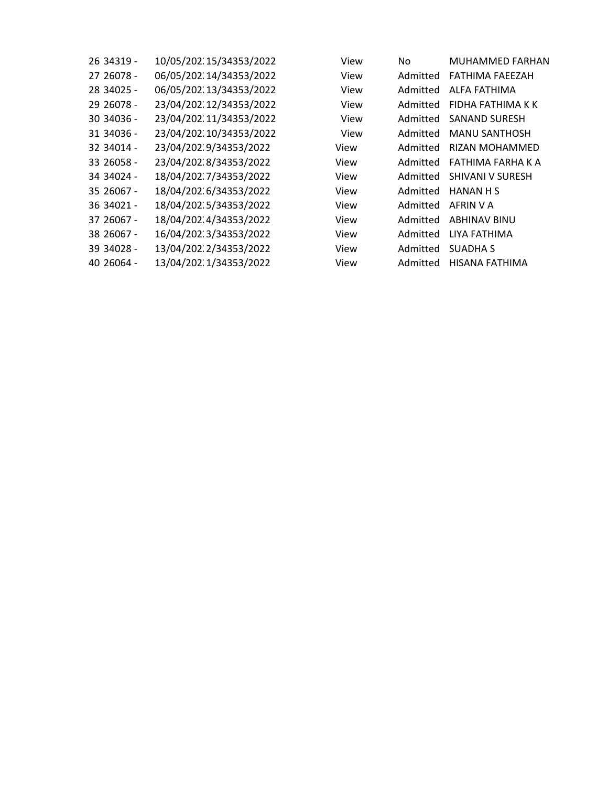| 26 34319 - | 10/05/202.15/34353/2022 | View | No.      | <b>MUHAMMED FARE</b> |
|------------|-------------------------|------|----------|----------------------|
| 27 26078 - | 06/05/202.14/34353/2022 | View | Admitted | FATHIMA FAEEZAH      |
| 28 34025 - | 06/05/202.13/34353/2022 | View | Admitted | ALFA FATHIMA         |
| 29 26078 - | 23/04/202.12/34353/2022 | View | Admitted | FIDHA FATHIMA K I    |
| 30 34036 - | 23/04/202.11/34353/2022 | View | Admitted | <b>SANAND SURESH</b> |
| 31 34036 - | 23/04/202.10/34353/2022 | View | Admitted | <b>MANU SANTHOSH</b> |
| 32 34014 - | 23/04/202.9/34353/2022  | View | Admitted | <b>RIZAN MOHAMME</b> |
| 33 26058 - | 23/04/202.8/34353/2022  | View | Admitted | FATHIMA FARHA K      |
| 34 34024 - | 18/04/202.7/34353/2022  | View | Admitted | SHIVANI V SURESH     |
| 35 26067 - | 18/04/202.6/34353/2022  | View | Admitted | <b>HANAN H S</b>     |
| 36 34021 - | 18/04/202.5/34353/2022  | View | Admitted | AFRIN V A            |
| 37 26067 - | 18/04/202.4/34353/2022  | View | Admitted | <b>ABHINAV BINU</b>  |
| 38 26067 - | 16/04/202.3/34353/2022  | View | Admitted | LIYA FATHIMA         |
| 39 34028 - | 13/04/202.2/34353/2022  | View | Admitted | <b>SUADHA S</b>      |
| 40 26064 - | 13/04/202.1/34353/2022  | View | Admitted | HISANA FATHIMA       |

| 26 34319 - | 10/05/202.15/34353/2022 | View | No       | <b>MUHAMMED FARHAN</b> |
|------------|-------------------------|------|----------|------------------------|
| 27 26078 - | 06/05/202.14/34353/2022 | View | Admitted | FATHIMA FAEEZAH        |
| 28 34025 - | 06/05/202.13/34353/2022 | View | Admitted | ALFA FATHIMA           |
| 29 26078 - | 23/04/202.12/34353/2022 | View | Admitted | FIDHA FATHIMA K K      |
| 30 34036 - | 23/04/202.11/34353/2022 | View | Admitted | <b>SANAND SURESH</b>   |
| 31 34036 - | 23/04/202.10/34353/2022 | View | Admitted | <b>MANU SANTHOSH</b>   |
| 32 34014 - | 23/04/202.9/34353/2022  | View | Admitted | RIZAN MOHAMMED         |
| 33 26058 - | 23/04/202.8/34353/2022  | View | Admitted | FATHIMA FARHA K A      |
| 34 34024 - | 18/04/202.7/34353/2022  | View | Admitted | SHIVANI V SURESH       |
| 35 26067 - | 18/04/202.6/34353/2022  | View | Admitted | <b>HANAN H S</b>       |
| 36 34021 - | 18/04/202.5/34353/2022  | View | Admitted | AFRIN V A              |
| 37 26067 - | 18/04/202.4/34353/2022  | View | Admitted | <b>ABHINAV BINU</b>    |
| 38 26067 - | 16/04/202.3/34353/2022  | View | Admitted | LIYA FATHIMA           |
| 39 34028 - | 13/04/202.2/34353/2022  | View | Admitted | <b>SUADHAS</b>         |
| 40 26064 - | 13/04/202.1/34353/2022  | View | Admitted | HISANA FATHIMA         |
|            |                         |      |          |                        |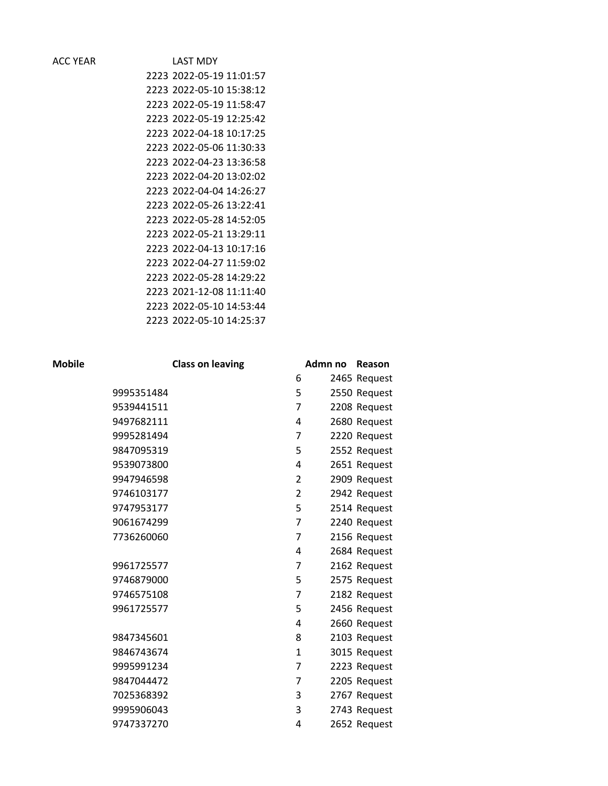ACC YEAR LAST MDY

| <b>Mobile</b> | <b>Class on leaving</b> | Admn no        | Reason       |
|---------------|-------------------------|----------------|--------------|
|               |                         | 6              | 2465 Request |
| 9995351484    |                         | 5              | 2550 Request |
| 9539441511    |                         | 7              | 2208 Request |
| 9497682111    |                         | 4              | 2680 Request |
| 9995281494    |                         | $\overline{7}$ | 2220 Request |
| 9847095319    |                         | 5              | 2552 Request |
| 9539073800    |                         | 4              | 2651 Request |
| 9947946598    |                         | $\overline{2}$ | 2909 Request |
| 9746103177    |                         | $\overline{2}$ | 2942 Request |
| 9747953177    |                         | 5              | 2514 Request |
| 9061674299    |                         | $\overline{7}$ | 2240 Request |
| 7736260060    |                         | 7              | 2156 Request |
|               |                         | 4              | 2684 Request |
| 9961725577    |                         | 7              | 2162 Request |
| 9746879000    |                         | 5              | 2575 Request |
| 9746575108    |                         | 7              | 2182 Request |
| 9961725577    |                         | 5              | 2456 Request |
|               |                         | 4              | 2660 Request |
| 9847345601    |                         | 8              | 2103 Request |
| 9846743674    |                         | 1              | 3015 Request |
| 9995991234    |                         | 7              | 2223 Request |
| 9847044472    |                         | 7              | 2205 Request |
| 7025368392    |                         | 3              | 2767 Request |
| 9995906043    |                         | 3              | 2743 Request |
| 9747337270    |                         | 4              | 2652 Request |